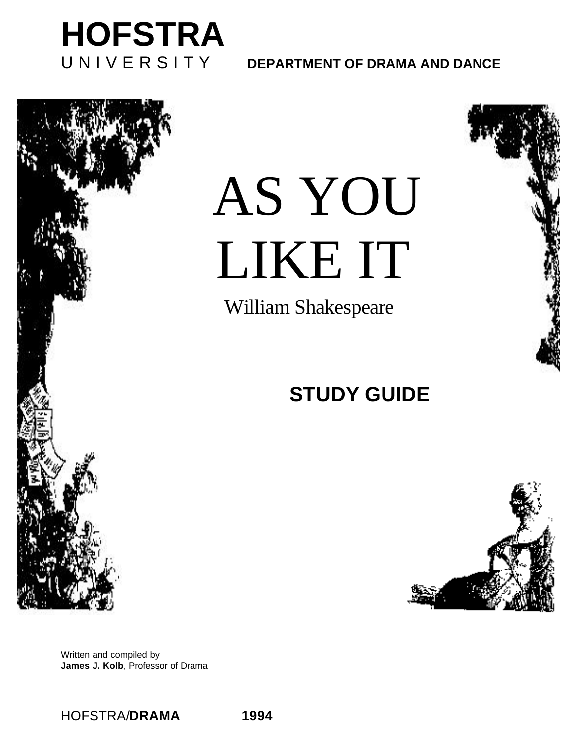

UNIVERSITY **DEPARTMENT OF DRAMA AND DANCE**





William Shakespeare





Written and compiled by **James J. Kolb**, Professor of Drama

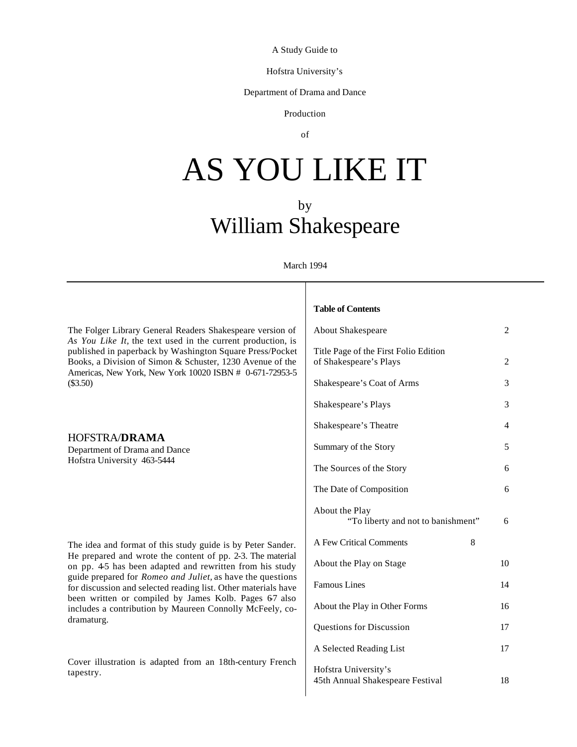A Study Guide to

#### Hofstra University's

#### Department of Drama and Dance

Production

of

# AS YOU LIKE IT

# by William Shakespeare

| March 1994 |  |
|------------|--|
|            |  |

The Folger Library General Readers Shakespeare version of *As You Like It,* the text used in the current production, is published in paperback by Washington Square Press/Pocket Books, a Division of Simon & Schuster, 1230 Avenue of the Americas, New York, New York 10020 ISBN # 0-671-72953-5 (\$3.50)

#### HOFSTRA/**DRAMA**

Department of Drama and Dance Hofstra University 463-5444

The idea and format of this study guide is by Peter Sander. He prepared and wrote the content of pp. 2-3. The material on pp. 4-5 has been adapted and rewritten from his study guide prepared for *Romeo and Juliet,* as have the questions for discussion and selected reading list. Other materials have been written or compiled by James Kolb. Pages 67 also includes a contribution by Maureen Connolly McFeely, codramaturg.

Cover illustration is adapted from an 18th-century French tapestry.

#### **Table of Contents**

| <b>About Shakespeare</b>                                        | 2  |
|-----------------------------------------------------------------|----|
| Title Page of the First Folio Edition<br>of Shakespeare's Plays | 2  |
| Shakespeare's Coat of Arms                                      | 3  |
| Shakespeare's Plays                                             | 3  |
| Shakespeare's Theatre                                           | 4  |
| Summary of the Story                                            | 5  |
| The Sources of the Story                                        | 6  |
| The Date of Composition                                         | 6  |
| About the Play<br>"To liberty and not to banishment"            | 6  |
| <b>A Few Critical Comments</b><br>8                             |    |
| About the Play on Stage                                         | 10 |
| <b>Famous Lines</b>                                             | 14 |
| About the Play in Other Forms                                   | 16 |
| <b>Questions for Discussion</b>                                 | 17 |
| A Selected Reading List                                         | 17 |
| Hofstra University's<br>45th Annual Shakespeare Festival        | 18 |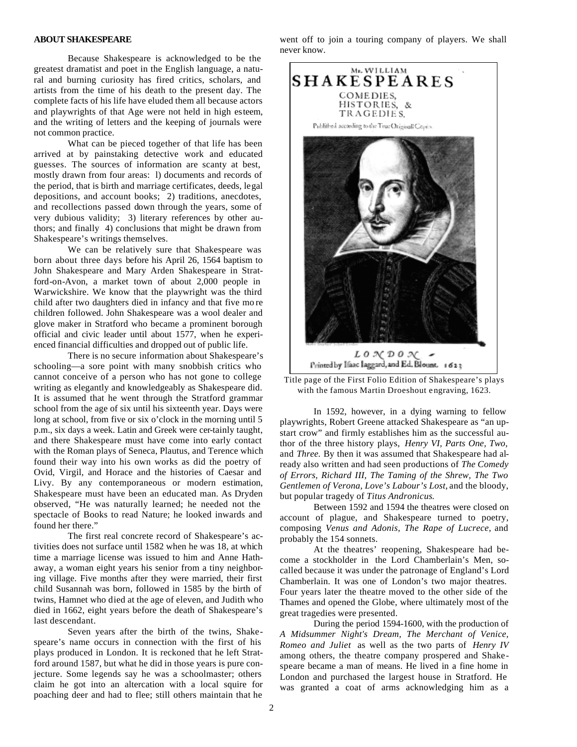#### **ABOUT SHAKESPEARE**

Because Shakespeare is acknowledged to be the greatest dramatist and poet in the English language, a natural and burning curiosity has fired critics, scholars, and artists from the time of his death to the present day. The complete facts of his life have eluded them all because actors and playwrights of that Age were not held in high esteem, and the writing of letters and the keeping of journals were not common practice.

What can be pieced together of that life has been arrived at by painstaking detective work and educated guesses. The sources of information are scanty at best, mostly drawn from four areas: l) documents and records of the period, that is birth and marriage certificates, deeds, legal depositions, and account books; 2) traditions, anecdotes, and recollections passed down through the years, some of very dubious validity; 3) literary references by other authors; and finally 4) conclusions that might be drawn from Shakespeare's writings themselves.

We can be relatively sure that Shakespeare was born about three days before his April 26, 1564 baptism to John Shakespeare and Mary Arden Shakespeare in Stratford-on-Avon, a market town of about 2,000 people in Warwickshire. We know that the playwright was the third child after two daughters died in infancy and that five mo re children followed. John Shakespeare was a wool dealer and glove maker in Stratford who became a prominent borough official and civic leader until about 1577, when he experienced financial difficulties and dropped out of public life.

There is no secure information about Shakespeare's schooling—a sore point with many snobbish critics who cannot conceive of a person who has not gone to college writing as elegantly and knowledgeably as Shakespeare did. It is assumed that he went through the Stratford grammar school from the age of six until his sixteenth year. Days were long at school, from five or six o'clock in the morning until 5 p.m., six days a week. Latin and Greek were cer-tainly taught, and there Shakespeare must have come into early contact with the Roman plays of Seneca, Plautus, and Terence which found their way into his own works as did the poetry of Ovid, Virgil, and Horace and the histories of Caesar and Livy. By any contemporaneous or modern estimation, Shakespeare must have been an educated man. As Dryden observed, "He was naturally learned; he needed not the spectacle of Books to read Nature; he looked inwards and found her there."

The first real concrete record of Shakespeare's activities does not surface until 1582 when he was 18, at which time a marriage license was issued to him and Anne Hathaway, a woman eight years his senior from a tiny neighboring village. Five months after they were married, their first child Susannah was born, followed in 1585 by the birth of twins, Hamnet who died at the age of eleven, and Judith who died in 1662, eight years before the death of Shakespeare's last descendant.

Seven years after the birth of the twins, Shakespeare's name occurs in connection with the first of his plays produced in London. It is reckoned that he left Stratford around 1587, but what he did in those years is pure conjecture. Some legends say he was a schoolmaster; others claim he got into an altercation with a local squire for poaching deer and had to flee; still others maintain that he

went off to join a touring company of players. We shall never know.



Title page of the First Folio Edition of Shakespeare's plays with the famous Martin Droeshout e ngraving, 1623.

In 1592, however, in a dying warning to fellow playwrights, Robert Greene attacked Shakespeare as "an upstart crow" and firmly establishes him as the successful author of the three history plays, *Henry VI, Parts One, Two,*  and *Three.* By then it was assumed that Shakespeare had already also written and had seen productions of *The Comedy of Errors, Richard III, The Taming of the Shrew, The Two Gentlemen of Verona, Love's Labour's Lost,* and the bloody, but popular tragedy of *Titus Andronicus.*

Between 1592 and 1594 the theatres were closed on account of plague, and Shakespeare turned to poetry, composing *Venus and Adonis, The Rape of Lucrece*, and probably the 154 sonnets.

At the theatres' reopening, Shakespeare had become a stockholder in the Lord Chamberlain's Men, socalled because it was under the patronage of England's Lord Chamberlain. It was one of London's two major theatres. Four years later the theatre moved to the other side of the Thames and opened the Globe, where ultimately most of the great tragedies were presented.

During the period 1594-1600, with the production of *A Midsummer Night's Dream, The Merchant of Venice, Romeo and Juliet* as well as the two parts of *Henry IV* among others, the theatre company prospered and Shakespeare became a man of means. He lived in a fine home in London and purchased the largest house in Stratford. He was granted a coat of arms acknowledging him as a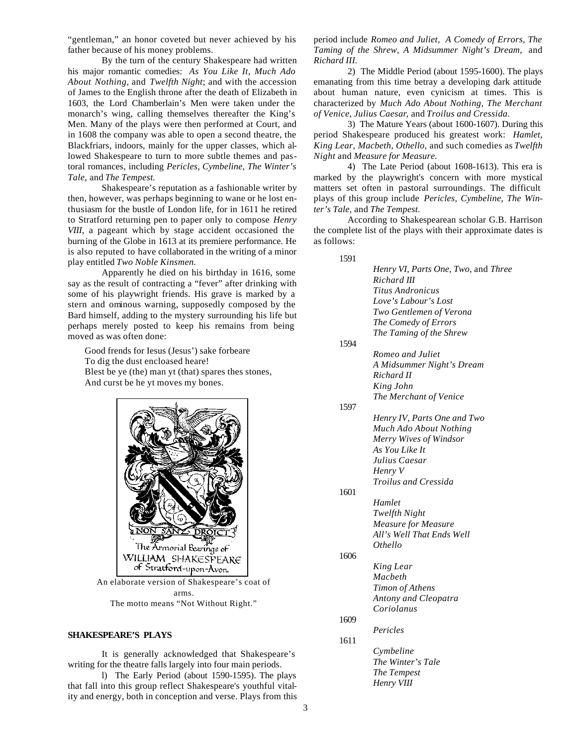"gentleman," an honor coveted but never achieved by his father because of his money problems.

By the turn of the century Shakespeare had written his major romantic comedies: *As You Like It, Much Ado About Nothing,* and *Twelfth Night*; and with the accession of James to the English throne after the death of Elizabeth in 1603, the Lord Chamberlain's Men were taken under the monarch's wing, calling themselves thereafter the King's Men. Many of the plays were then performed at Court, and in 1608 the company was able to open a second theatre, the Blackfriars, indoors, mainly for the upper classes, which allowed Shakespeare to turn to more subtle themes and pastoral romances, including *Pericles, Cymbeline, The Winter's Tale*, and *The Tempest.*

Shakespeare's reputation as a fashionable writer by then, however, was perhaps beginning to wane or he lost enthusiasm for the bustle of London life, for in 1611 he retired to Stratford returning pen to paper only to compose *Henry VIII*, a pageant which by stage accident occasioned the burning of the Globe in 1613 at its premiere performance. He is also reputed to have collaborated in the writing of a minor play entitled *Two Noble Kinsmen.*

Apparently he died on his birthday in 1616, some say as the result of contracting a "fever" after drinking with some of his playwright friends. His grave is marked by a stern and ominous warning, supposedly composed by the Bard himself, adding to the mystery surrounding his life but perhaps merely posted to keep his remains from being moved as was often done:

Good frends for Iesus (Jesus') sake forbeare To dig the dust encloased heare! Blest be ye (the) man yt (that) spares thes stones, And curst be he yt moves my bones.



arms. The motto means "Not Without Right."

#### **SHAKESPEARE'S PLAYS**

It is generally acknowledged that Shakespeare's writing for the theatre falls largely into four main periods.

l) The Early Period (about 1590-1595). The plays that fall into this group reflect Shakespeare's youthful vitality and energy, both in conception and verse. Plays from this

period include *Romeo and Juliet, A Comedy of Errors, The Taming of the Shrew, A Midsummer Night's Dream,* and *Richard III.*

2) The Middle Period (about 1595-1600). The plays emanating from this time betray a developing dark attitude about human nature, even cynicism at times. This is characterized by *Much Ado About Nothing, The Merchant of Venice, Julius Caesar*, and *Troilus and Cressida.*

3) The Mature Years (about 1600-1607). During this period Shakespeare produced his greatest work: *Hamlet, King Lear, Macbeth, Othello,* and such comedies as *Twelfth Night* and *Measure for Measure.*

4) The Late Period (about 1608-1613). This era is marked by the playwright's concern with more mystical matters set often in pastoral surroundings. The difficult plays of this group include *Pericles, Cymbeline, The Winter's Tale,* and *The Tempest.*

According to Shakespearean scholar G.B. Harrison the complete list of the plays with their approximate dates is as follows:

1591

1594

*Henry VI, Parts One, Two,* and *Three Richard III Titus Andronicus Love's Labour's Lost Two Gentlemen of Verona The Comedy of Errors The Taming of the Shrew*

*Romeo and Juliet A Midsummer Night's Dream Richard II King John The Merchant of Venice*

1597 *Henry IV, Parts One and Two Much Ado About Nothing Merry Wives of Windsor As You Like It Julius Caesar Henry V*

*Troilus and Cressida*

*Hamlet Twelfth Night Measure for Measure All's Well That Ends Well Othello*

*King Lear Macbeth Timon of Athens Antony and Cleopatra Coriolanus*

1609 *Pericles*

1611

1601

1606

*Cymbeline The Winter's Tale The Tempest Henry VIII*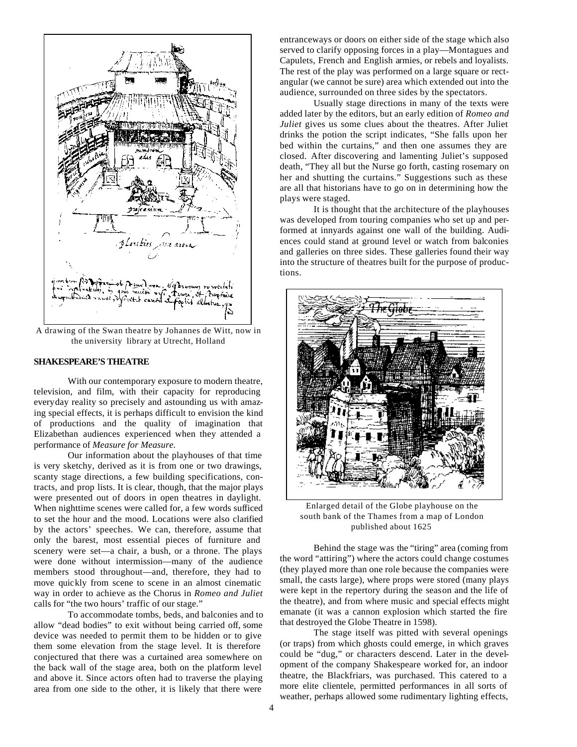

A drawing of the Swan theatre by Johannes de Witt, now in the university library at Utrecht, Holland

#### **SHAKESPEARE'S THEATRE**

With our contemporary exposure to modern theatre, television, and film, with their capacity for reproducing everyday reality so precisely and astounding us with amazing special effects, it is perhaps difficult to envision the kind of productions and the quality of imagination that Elizabethan audiences experienced when they attended a performance of *Measure for Measure.*

Our information about the playhouses of that time is very sketchy, derived as it is from one or two drawings, scanty stage directions, a few building specifications, contracts, and prop lists. It is clear, though, that the major plays were presented out of doors in open theatres in daylight. When nighttime scenes were called for, a few words sufficed to set the hour and the mood. Locations were also clarified by the actors' speeches. We can, therefore, assume that only the barest, most essential pieces of furniture and scenery were set—a chair, a bush, or a throne. The plays were done without intermission—many of the audience members stood throughout—and, therefore, they had to move quickly from scene to scene in an almost cinematic way in order to achieve as the Chorus in *Romeo and Juliet*  calls for "the two hours' traffic of our stage."

To accommodate tombs, beds, and balconies and to allow "dead bodies" to exit without being carried off, some device was needed to permit them to be hidden or to give them some elevation from the stage level. It is therefore conjectured that there was a curtained area somewhere on the back wall of the stage area, both on the platform level and above it. Since actors often had to traverse the playing area from one side to the other, it is likely that there were

entranceways or doors on either side of the stage which also served to clarify opposing forces in a play—Montagues and Capulets, French and English armies, or rebels and loyalists. The rest of the play was performed on a large square or rectangular (we cannot be sure) area which extended out into the audience, surrounded on three sides by the spectators.

Usually stage directions in many of the texts were added later by the editors, but an early edition of *Romeo and Juliet* gives us some clues about the theatres. After Juliet drinks the potion the script indicates, "She falls upon her bed within the curtains," and then one assumes they are closed. After discovering and lamenting Juliet's supposed death, "They all but the Nurse go forth, casting rosemary on her and shutting the curtains." Suggestions such as these are all that historians have to go on in determining how the plays were staged.

It is thought that the architecture of the playhouses was developed from touring companies who set up and performed at innyards against one wall of the building. Audiences could stand at ground level or watch from balconies and galleries on three sides. These galleries found their way into the structure of theatres built for the purpose of productions.



Enlarged detail of the Globe playhouse on the south bank of the Thames from a map of London published about 1625

Behind the stage was the "tiring" area (coming from the word "attiring") where the actors could change costumes (they played more than one role because the companies were small, the casts large), where props were stored (many plays were kept in the repertory during the season and the life of the theatre), and from where music and special effects might emanate (it was a cannon explosion which started the fire that destroyed the Globe Theatre in 1598).

The stage itself was pitted with several openings (or traps) from which ghosts could emerge, in which graves could be "dug," or characters descend. Later in the development of the company Shakespeare worked for, an indoor theatre, the Blackfriars, was purchased. This catered to a more elite clientele, permitted performances in all sorts of weather, perhaps allowed some rudimentary lighting effects,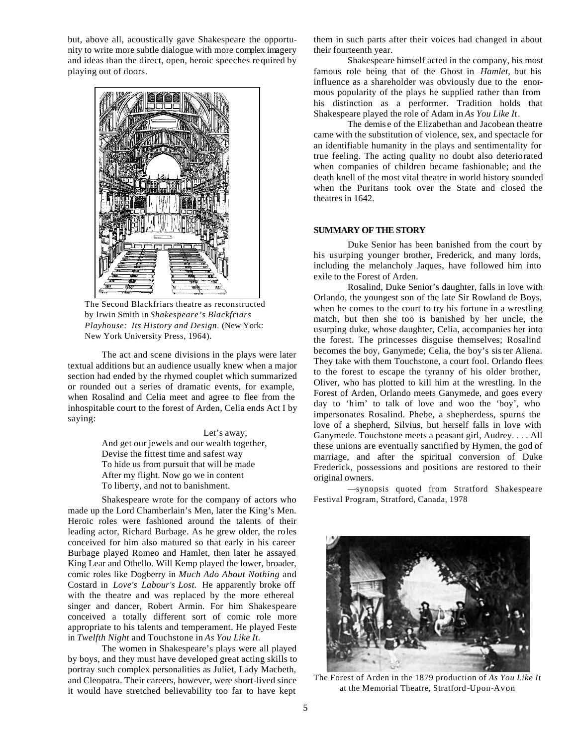but, above all, acoustically gave Shakespeare the opportunity to write more subtle dialogue with more complex imagery and ideas than the direct, open, heroic speeches required by playing out of doors.



The Second Blackfriars theatre as reconstructed by Irwin Smith in *Shakespeare's Blackfriars Playhouse: Its History and Design.* (New York: New York University Press, 1964).

The act and scene divisions in the plays were later textual additions but an audience usually knew when a major section had ended by the rhymed couplet which summarized or rounded out a series of dramatic events, for example, when Rosalind and Celia meet and agree to flee from the inhospitable court to the forest of Arden, Celia ends Act I by saying:

Let's away,

And get our jewels and our wealth together, Devise the fittest time and safest way To hide us from pursuit that will be made After my flight. Now go we in content To liberty, and not to banishment.

Shakespeare wrote for the company of actors who made up the Lord Chamberlain's Men, later the King's Men. Heroic roles were fashioned around the talents of their leading actor, Richard Burbage. As he grew older, the roles conceived for him also matured so that early in his career Burbage played Romeo and Hamlet, then later he assayed King Lear and Othello. Will Kemp played the lower, broader, comic roles like Dogberry in *Much Ado About Nothing* and Costard in *Love's Labour's Lost.* He apparently broke off with the theatre and was replaced by the more ethereal singer and dancer, Robert Armin. For him Shakespeare conceived a totally different sort of comic role more appropriate to his talents and temperament. He played Feste in *Twelfth Night* and Touchstone in *As You Like It.*

The women in Shakespeare's plays were all played by boys, and they must have developed great acting skills to portray such complex personalities as Juliet, Lady Macbeth, and Cleopatra. Their careers, however, were short-lived since it would have stretched believability too far to have kept

them in such parts after their voices had changed in about their fourteenth year.

Shakespeare himself acted in the company, his most famous role being that of the Ghost in *Hamlet*, but his influence as a shareholder was obviously due to the enormous popularity of the plays he supplied rather than from his distinction as a performer. Tradition holds that Shakespeare played the role of Adam in *As You Like It*.

The demis e of the Elizabethan and Jacobean theatre came with the substitution of violence, sex, and spectacle for an identifiable humanity in the plays and sentimentality for true feeling. The acting quality no doubt also deteriorated when companies of children became fashionable; and the death knell of the most vital theatre in world history sounded when the Puritans took over the State and closed the theatres in 1642.

#### **SUMMARY OF THE STORY**

Duke Senior has been banished from the court by his usurping younger brother, Frederick, and many lords, including the melancholy Jaques, have followed him into exile to the Forest of Arden.

Rosalind, Duke Senior's daughter, falls in love with Orlando, the youngest son of the late Sir Rowland de Boys, when he comes to the court to try his fortune in a wrestling match, but then she too is banished by her uncle, the usurping duke, whose daughter, Celia, accompanies her into the forest. The princesses disguise themselves; Rosalind becomes the boy, Ganymede; Celia, the boy's sister Aliena. They take with them Touchstone, a court fool. Orlando flees to the forest to escape the tyranny of his older brother, Oliver, who has plotted to kill him at the wrestling. In the Forest of Arden, Orlando meets Ganymede, and goes every day to 'him' to talk of love and woo the 'boy', who impersonates Rosalind. Phebe, a shepherdess, spurns the love of a shepherd, Silvius, but herself falls in love with Ganymede. Touchstone meets a peasant girl, Audrey. . . . All these unions are eventually sanctified by Hymen, the god of marriage, and after the spiritual conversion of Duke Frederick, possessions and positions are restored to their original owners.

—synopsis quoted from Stratford Shakespeare Festival Program, Stratford, Canada, 1978



The Forest of Arden in the 1879 production of *As You Like It* at the Memorial Theatre, Stratford-Upon-Avon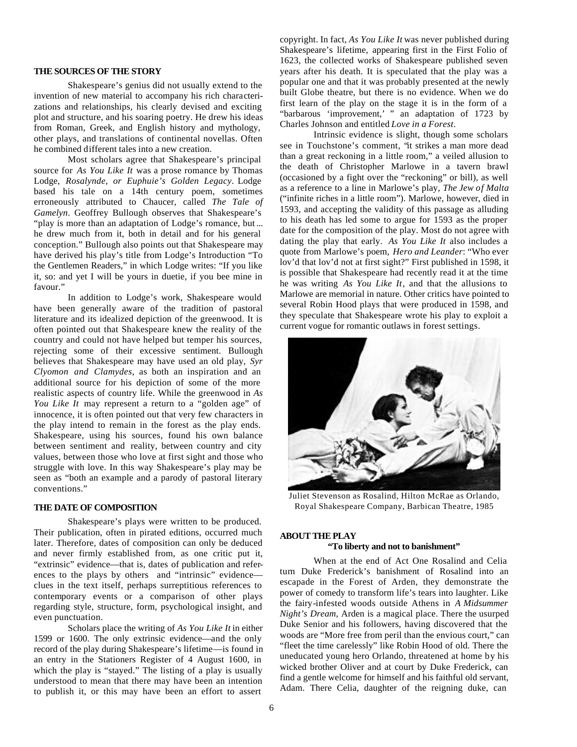#### **THE SOURCES OF THE STORY**

Shakespeare's genius did not usually extend to the invention of new material to accompany his rich characterizations and relationships, his clearly devised and exciting plot and structure, and his soaring poetry. He drew his ideas from Roman, Greek, and English history and mythology, other plays, and translations of continental novellas. Often he combined different tales into a new creation.

Most scholars agree that Shakespeare's principal source for *As You Like It* was a prose romance by Thomas Lodge, *Rosalynde, or Euphuie's Golden Legacy*. Lodge based his tale on a 14th century poem, sometimes erroneously attributed to Chaucer, called *The Tale of Gamelyn*. Geoffrey Bullough observes that Shakespeare's "play is more than an adaptation of Lodge's romance, but ... he drew much from it, both in detail and for his general conception." Bullough also points out that Shakespeare may have derived his play's title from Lodge's Introduction "To the Gentlemen Readers," in which Lodge writes: "If you like it, so: and yet I will be yours in duetie, if you bee mine in favour."

In addition to Lodge's work, Shakespeare would have been generally aware of the tradition of pastoral literature and its idealized depiction of the greenwood. It is often pointed out that Shakespeare knew the reality of the country and could not have helped but temper his sources, rejecting some of their excessive sentiment. Bullough believes that Shakespeare may have used an old play, *Syr Clyomon and Clamydes*, as both an inspiration and an additional source for his depiction of some of the more realistic aspects of country life. While the greenwood in *As You Like It* may represent a return to a "golden age" of innocence, it is often pointed out that very few characters in the play intend to remain in the forest as the play ends. Shakespeare, using his sources, found his own balance between sentiment and reality, between country and city values, between those who love at first sight and those who struggle with love. In this way Shakespeare's play may be seen as "both an example and a parody of pastoral literary conventions."

#### **THE DATE OF COMPOSITION**

Shakespeare's plays were written to be produced. Their publication, often in pirated editions, occurred much later. Therefore, dates of composition can only be deduced and never firmly established from, as one critic put it, "extrinsic" evidence—that is, dates of publication and references to the plays by others and "intrinsic" evidence clues in the text itself, perhaps surreptitious references to contemporary events or a comparison of other plays regarding style, structure, form, psychological insight, and even punctuation.

Scholars place the writing of *As You Like It* in either 1599 or 1600. The only extrinsic evidence—and the only record of the play during Shakespeare's lifetime—is found in an entry in the Stationers Register of 4 August 1600, in which the play is "stayed." The listing of a play is usually understood to mean that there may have been an intention to publish it, or this may have been an effort to assert

copyright. In fact, *As You Like It* was never published during Shakespeare's lifetime, appearing first in the First Folio of 1623, the collected works of Shakespeare published seven years after his death. It is speculated that the play was a popular one and that it was probably presented at the newly built Globe theatre, but there is no evidence. When we do first learn of the play on the stage it is in the form of a "barbarous 'improvement,' " an adaptation of 1723 by Charles Johnson and entitled *Love in a Forest*.

Intrinsic evidence is slight, though some scholars see in Touchstone's comment, "it strikes a man more dead than a great reckoning in a little room," a veiled allusion to the death of Christopher Marlowe in a tavern brawl (occasioned by a fight over the "reckoning" or bill), as well as a reference to a line in Marlowe's play, *The Jew of Malta*  ("infinite riches in a little room"). Marlowe, however, died in 1593, and accepting the validity of this passage as alluding to his death has led some to argue for 1593 as the proper date for the composition of the play. Most do not agree with dating the play that early. *As You Like It* also includes a quote from Marlowe's poem, *Hero and Leander*: "Who ever lov'd that lov'd not at first sight?" First published in 1598, it is possible that Shakespeare had recently read it at the time he was writing *As You Like It*, and that the allusions to Marlowe are memorial in nature. Other critics have pointed to several Robin Hood plays that were produced in 1598, and they speculate that Shakespeare wrote his play to exploit a current vogue for romantic outlaws in forest settings.



Juliet Stevenson as Rosalind, Hilton McRae as Orlando, Royal Shakespeare Company, Barbican Theatre, 1985

## **ABOUT THE PLAY**

#### **"To liberty and not to banishment"**

When at the end of Act One Rosalind and Celia turn Duke Frederick's banishment of Rosalind into an escapade in the Forest of Arden, they demonstrate the power of comedy to transform life's tears into laughter. Like the fairy-infested woods outside Athens in *A Midsummer Night's Dream,* Arden is a magical place. There the usurped Duke Senior and his followers, having discovered that the woods are "More free from peril than the envious court," can "fleet the time carelessly" like Robin Hood of old. There the uneducated young hero Orlando, threatened at home by his wicked brother Oliver and at court by Duke Frederick, can find a gentle welcome for himself and his faithful old servant, Adam. There Celia, daughter of the reigning duke, can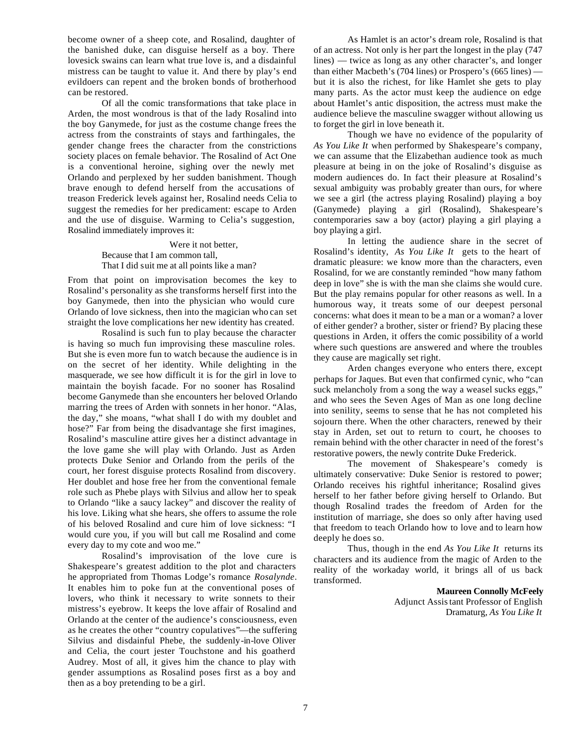become owner of a sheep cote, and Rosalind, daughter of the banished duke, can disguise herself as a boy. There lovesick swains can learn what true love is, and a disdainful mistress can be taught to value it. And there by play's end evildoers can repent and the broken bonds of brotherhood can be restored.

Of all the comic transformations that take place in Arden, the most wondrous is that of the lady Rosalind into the boy Ganymede, for just as the costume change frees the actress from the constraints of stays and farthingales, the gender change frees the character from the constrictions society places on female behavior. The Rosalind of Act One is a conventional heroine, sighing over the newly met Orlando and perplexed by her sudden banishment. Though brave enough to defend herself from the accusations of treason Frederick levels against her, Rosalind needs Celia to suggest the remedies for her predicament: escape to Arden and the use of disguise. Warming to Celia's suggestion, Rosalind immediately improves it:

> Were it not better, Because that I am common tall, That I did suit me at all points like a man?

From that point on improvisation becomes the key to Rosalind's personality as she transforms herself first into the boy Ganymede, then into the physician who would cure Orlando of love sickness, then into the magician who can set straight the love complications her new identity has created.

Rosalind is such fun to play because the character is having so much fun improvising these masculine roles. But she is even more fun to watch because the audience is in on the secret of her identity. While delighting in the masquerade, we see how difficult it is for the girl in love to maintain the boyish facade. For no sooner has Rosalind become Ganymede than she encounters her beloved Orlando marring the trees of Arden with sonnets in her honor. "Alas, the day," she moans, "what shall I do with my doublet and hose?" Far from being the disadvantage she first imagines, Rosalind's masculine attire gives her a distinct advantage in the love game she will play with Orlando. Just as Arden protects Duke Senior and Orlando from the perils of the court, her forest disguise protects Rosalind from discovery. Her doublet and hose free her from the conventional female role such as Phebe plays with Silvius and allow her to speak to Orlando "like a saucy lackey" and discover the reality of his love. Liking what she hears, she offers to assume the role of his beloved Rosalind and cure him of love sickness: "I would cure you, if you will but call me Rosalind and come every day to my cote and woo me."

Rosalind's improvisation of the love cure is Shakespeare's greatest addition to the plot and characters he appropriated from Thomas Lodge's romance *Rosalynde*. It enables him to poke fun at the conventional poses of lovers, who think it necessary to write sonnets to their mistress's eyebrow. It keeps the love affair of Rosalind and Orlando at the center of the audience's consciousness, even as he creates the other "country copulatives"—the suffering Silvius and disdainful Phebe, the suddenly-in-love Oliver and Celia, the court jester Touchstone and his goatherd Audrey. Most of all, it gives him the chance to play with gender assumptions as Rosalind poses first as a boy and then as a boy pretending to be a girl.

As Hamlet is an actor's dream role, Rosalind is that of an actress. Not only is her part the longest in the play (747 lines) — twice as long as any other character's, and longer than either Macbeth's (704 lines) or Prospero's (665 lines) but it is also the richest, for like Hamlet she gets to play many parts. As the actor must keep the audience on edge about Hamlet's antic disposition, the actress must make the audience believe the masculine swagger without allowing us to forget the girl in love beneath it.

Though we have no evidence of the popularity of *As You Like It* when performed by Shakespeare's company, we can assume that the Elizabethan audience took as much pleasure at being in on the joke of Rosalind's disguise as modern audiences do. In fact their pleasure at Rosalind's sexual ambiguity was probably greater than ours, for where we see a girl (the actress playing Rosalind) playing a boy (Ganymede) playing a girl (Rosalind), Shakespeare's contemporaries saw a boy (actor) playing a girl playing a boy playing a girl.

In letting the audience share in the secret of Rosalind's identity, *As You Like It* gets to the heart of dramatic pleasure: we know more than the characters, even Rosalind, for we are constantly reminded "how many fathom deep in love" she is with the man she claims she would cure. But the play remains popular for other reasons as well. In a humorous way, it treats some of our deepest personal concerns: what does it mean to be a man or a woman? a lover of either gender? a brother, sister or friend? By placing these questions in Arden, it offers the comic possibility of a world where such questions are answered and where the troubles they cause are magically set right.

Arden changes everyone who enters there, except perhaps for Jaques. But even that confirmed cynic, who "can suck melancholy from a song the way a weasel sucks eggs," and who sees the Seven Ages of Man as one long decline into senility, seems to sense that he has not completed his sojourn there. When the other characters, renewed by their stay in Arden, set out to return to court, he chooses to remain behind with the other character in need of the forest's restorative powers, the newly contrite Duke Frederick.

The movement of Shakespeare's comedy is ultimately conservative: Duke Senior is restored to power; Orlando receives his rightful inheritance; Rosalind gives herself to her father before giving herself to Orlando. But though Rosalind trades the freedom of Arden for the institution of marriage, she does so only after having used that freedom to teach Orlando how to love and to learn how deeply he does so.

Thus, though in the end *As You Like It* returns its characters and its audience from the magic of Arden to the reality of the workaday world, it brings all of us back transformed.

> **Maureen Connolly McFeely** Adjunct Assistant Professor of English

Dramaturg, *As You Like It*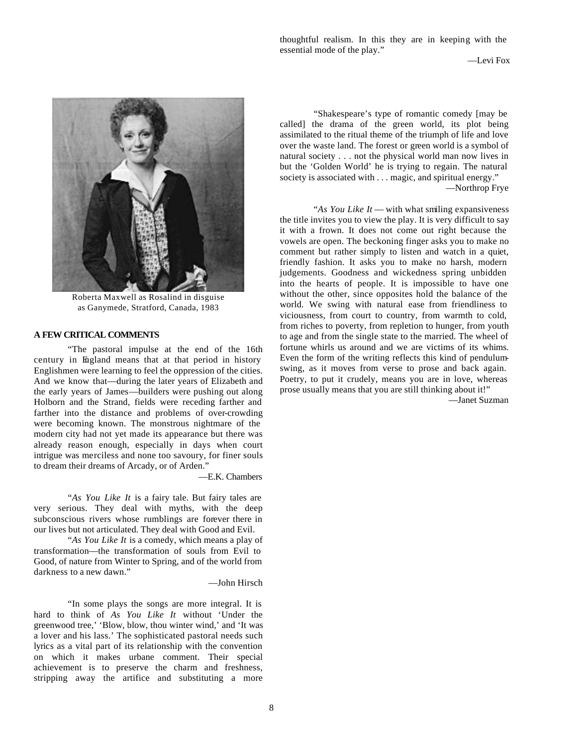thoughtful realism. In this they are in keeping with the essential mode of the play."

—Levi Fox



Roberta Maxwell as Rosalind in disguise as Ganymede, Stratford, Canada, 1983

#### **A FEW CRITICAL COMMENTS**

"The pastoral impulse at the end of the 16th century in England means that at that period in history Englishmen were learning to feel the oppression of the cities. And we know that—during the later years of Elizabeth and the early years of James—builders were pushing out along Holborn and the Strand, fields were receding farther and farther into the distance and problems of over-crowding were becoming known. The monstrous nightmare of the modern city had not yet made its appearance but there was already reason enough, especially in days when court intrigue was merciless and none too savoury, for finer souls to dream their dreams of Arcady, or of Arden."

—E.K. Chambers

"*As You Like It* is a fairy tale. But fairy tales are very serious. They deal with myths, with the deep subconscious rivers whose rumblings are forever there in our lives but not articulated. They deal with Good and Evil.

"*As You Like It* is a comedy, which means a play of transformation—the transformation of souls from Evil to Good, of nature from Winter to Spring, and of the world from darkness to a new dawn."

### —John Hirsch

"In some plays the songs are more integral. It is hard to think of *As You Like It* without 'Under the greenwood tree,' 'Blow, blow, thou winter wind,' and 'It was a lover and his lass.' The sophisticated pastoral needs such lyrics as a vital part of its relationship with the convention on which it makes urbane comment. Their special achievement is to preserve the charm and freshness, stripping away the artifice and substituting a more

"Shakespeare's type of romantic comedy [may be called] the drama of the green world, its plot being assimilated to the ritual theme of the triumph of life and love over the waste land. The forest or green world is a symbol of natural society . . . not the physical world man now lives in but the 'Golden World' he is trying to regain. The natural society is associated with . . . magic, and spiritual energy." —Northrop Frye

"*As You Like It* — with what smiling expansiveness the title invites you to view the play. It is very difficult to say it with a frown. It does not come out right because the vowels are open. The beckoning finger asks you to make no comment but rather simply to listen and watch in a quiet, friendly fashion. It asks you to make no harsh, modern judgements. Goodness and wickedness spring unbidden into the hearts of people. It is impossible to have one without the other, since opposites hold the balance of the world. We swing with natural ease from friendliness to viciousness, from court to country, from warmth to cold, from riches to poverty, from repletion to hunger, from youth to age and from the single state to the married. The wheel of fortune whirls us around and we are victims of its whims. Even the form of the writing reflects this kind of pendulumswing, as it moves from verse to prose and back again. Poetry, to put it crudely, means you are in love, whereas prose usually means that you are still thinking about it!"

—Janet Suzman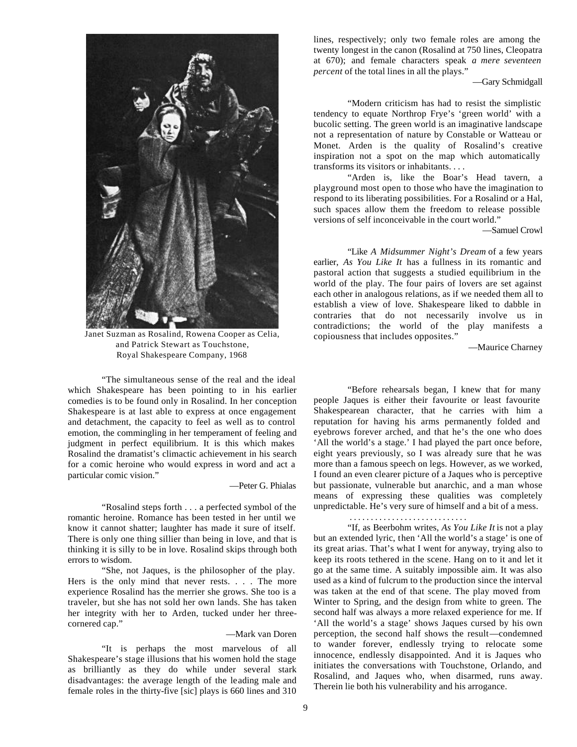

Janet Suzman as Rosalind, Rowena Cooper as Celia, and Patrick Stewart as Touchstone, Royal Shakespeare Company, 1968

"The simultaneous sense of the real and the ideal which Shakespeare has been pointing to in his earlier comedies is to be found only in Rosalind. In her conception Shakespeare is at last able to express at once engagement and detachment, the capacity to feel as well as to control emotion, the commingling in her temperament of feeling and judgment in perfect equilibrium. It is this which makes Rosalind the dramatist's climactic achievement in his search for a comic heroine who would express in word and act a particular comic vision."

#### —Peter G. Phialas

"Rosalind steps forth . . . a perfected symbol of the romantic heroine. Romance has been tested in her until we know it cannot shatter; laughter has made it sure of itself. There is only one thing sillier than being in love, and that is thinking it is silly to be in love. Rosalind skips through both errors to wisdom.

"She, not Jaques, is the philosopher of the play. Hers is the only mind that never rests. . . . The more experience Rosalind has the merrier she grows. She too is a traveler, but she has not sold her own lands. She has taken her integrity with her to Arden, tucked under her threecornered cap."

#### —Mark van Doren

"It is perhaps the most marvelous of all Shakespeare's stage illusions that his women hold the stage as brilliantly as they do while under several stark disadvantages: the average length of the leading male and female roles in the thirty-five [sic] plays is 660 lines and 310

lines, respectively; only two female roles are among the twenty longest in the canon (Rosalind at 750 lines, Cleopatra at 670); and female characters speak *a mere seventeen percent* of the total lines in all the plays."

—Gary Schmidgall

"Modern criticism has had to resist the simplistic tendency to equate Northrop Frye's 'green world' with a bucolic setting. The green world is an imaginative landscape not a representation of nature by Constable or Watteau or Monet. Arden is the quality of Rosalind's creative inspiration not a spot on the map which automatically transforms its visitors or inhabitants. . . .

"Arden is, like the Boar's Head tavern, a playground most open to those who have the imagination to respond to its liberating possibilities. For a Rosalind or a Hal, such spaces allow them the freedom to release possible versions of self inconceivable in the court world."

—Samuel Crowl

"Like *A Midsummer Night's Dream* of a few years earlier, *As You Like It* has a fullness in its romantic and pastoral action that suggests a studied equilibrium in the world of the play. The four pairs of lovers are set against each other in analogous relations, as if we needed them all to establish a view of love. Shakespeare liked to dabble in contraries that do not necessarily involve us in contradictions; the world of the play manifests a copiousness that includes opposites."

—Maurice Charney

"Before rehearsals began, I knew that for many people Jaques is either their favourite or least favourite Shakespearean character, that he carries with him a reputation for having his arms permanently folded and eyebrows forever arched, and that he's the one who does 'All the world's a stage.' I had played the part once before, eight years previously, so I was already sure that he was more than a famous speech on legs. However, as we worked, I found an even clearer picture of a Jaques who is perceptive but passionate, vulnerable but anarchic, and a man whose means of expressing these qualities was completely unpredictable. He's very sure of himself and a bit of a mess.

# . . . . . . . . . . . . . . . . . . . . . . . . . . . .

"If, as Beerbohm writes, *As You Like It* is not a play but an extended lyric, then 'All the world's a stage' is one of its great arias. That's what I went for anyway, trying also to keep its roots tethered in the scene. Hang on to it and let it go at the same time. A suitably impossible aim. It was also used as a kind of fulcrum to the production since the interval was taken at the end of that scene. The play moved from Winter to Spring, and the design from white to green. The second half was always a more relaxed experience for me. If 'All the world's a stage' shows Jaques cursed by his own perception, the second half shows the result—condemned to wander forever, endlessly trying to relocate some innocence, endlessly disappointed. And it is Jaques who initiates the conversations with Touchstone, Orlando, and Rosalind, and Jaques who, when disarmed, runs away. Therein lie both his vulnerability and his arrogance.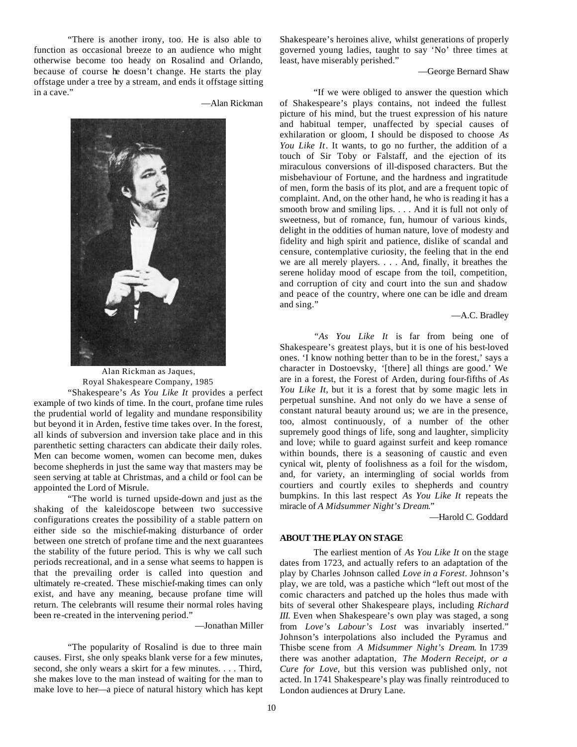"There is another irony, too. He is also able to function as occasional breeze to an audience who might otherwise become too heady on Rosalind and Orlando, because of course he doesn't change. He starts the play offstage under a tree by a stream, and ends it offstage sitting in a cave."

—Alan Rickman



Alan Rickman as Jaques, Royal Shakespeare Company, 1985

"Shakespeare's *As You Like It* provides a perfect example of two kinds of time. In the court, profane time rules the prudential world of legality and mundane responsibility but beyond it in Arden, festive time takes over. In the forest, all kinds of subversion and inversion take place and in this parenthetic setting characters can abdicate their daily roles. Men can become women, women can become men, dukes become shepherds in just the same way that masters may be seen serving at table at Christmas, and a child or fool can be appointed the Lord of Misrule.

"The world is turned upside-down and just as the shaking of the kaleidoscope between two successive configurations creates the possibility of a stable pattern on either side so the mischief-making disturbance of order between one stretch of profane time and the next guarantees the stability of the future period. This is why we call such periods recreational, and in a sense what seems to happen is that the prevailing order is called into question and ultimately re-created. These mischief-making times can only exist, and have any meaning, because profane time will return. The celebrants will resume their normal roles having been re-created in the intervening period."

—Jonathan Miller

"The popularity of Rosalind is due to three main causes. First, she only speaks blank verse for a few minutes, second, she only wears a skirt for a few minutes. . . . Third, she makes love to the man instead of waiting for the man to make love to her—a piece of natural history which has kept Shakespeare's heroines alive, whilst generations of properly governed young ladies, taught to say 'No' three times at least, have miserably perished."

—George Bernard Shaw

"If we were obliged to answer the question which of Shakespeare's plays contains, not indeed the fullest picture of his mind, but the truest expression of his nature and habitual temper, unaffected by special causes of exhilaration or gloom, I should be disposed to choose *As You Like It*. It wants, to go no further, the addition of a touch of Sir Toby or Falstaff, and the ejection of its miraculous conversions of ill-disposed characters. But the misbehaviour of Fortune, and the hardness and ingratitude of men, form the basis of its plot, and are a frequent topic of complaint. And, on the other hand, he who is reading it has a smooth brow and smiling lips. . . . And it is full not only of sweetness, but of romance, fun, humour of various kinds, delight in the oddities of human nature, love of modesty and fidelity and high spirit and patience, dislike of scandal and censure, contemplative curiosity, the feeling that in the end we are all merely players. . . . And, finally, it breathes the serene holiday mood of escape from the toil, competition, and corruption of city and court into the sun and shadow and peace of the country, where one can be idle and dream and sing."

—A.C. Bradley

*"As You Like It* is far from being one of Shakespeare's greatest plays, but it is one of his best-loved ones. 'I know nothing better than to be in the forest,' says a character in Dostoevsky, '[there] all things are good.' We are in a forest, the Forest of Arden, during four-fifths of *As You Like It,* but it is a forest that by some magic lets in perpetual sunshine. And not only do we have a sense of constant natural beauty around us; we are in the presence, too, almost continuously, of a number of the other supremely good things of life, song and laughter, simplicity and love; while to guard against surfeit and keep romance within bounds, there is a seasoning of caustic and even cynical wit, plenty of foolishness as a foil for the wisdom, and, for variety, an intermingling of social worlds from courtiers and courtly exiles to shepherds and country bumpkins. In this last respect *As You Like It* repeats the miracle of *A Midsummer Night's Dream*."

—Harold C. Goddard

#### **ABOUT THE PLAY ON STAGE**

The earliest mention of *As You Like It* on the stage dates from 1723, and actually refers to an adaptation of the play by Charles Johnson called *Love in a Forest*. Johnson's play, we are told, was a pastiche which "left out most of the comic characters and patched up the holes thus made with bits of several other Shakespeare plays, including *Richard III.* Even when Shakespeare's own play was staged, a song from *Love's Labour's Lost* was invariably inserted." Johnson's interpolations also included the Pyramus and Thisbe scene from *A Midsummer Night's Dream*. In 1739 there was another adaptation, *The Modern Receipt, or a Cure for Love*, but this version was published only, not acted. In 1741 Shakespeare's play was finally reintroduced to London audiences at Drury Lane.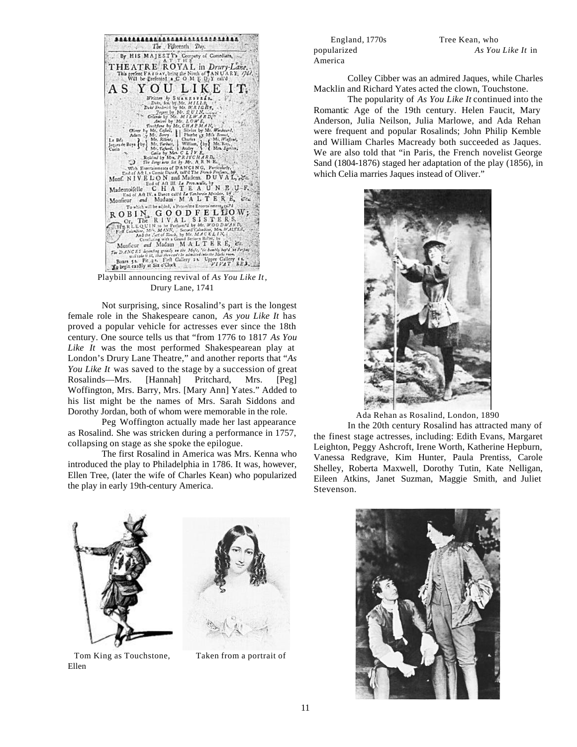

Drury Lane, 1741

Not surprising, since Rosalind's part is the longest female role in the Shakespeare canon, *As you Like It* has proved a popular vehicle for actresses ever since the 18th century. One source tells us that "from 1776 to 1817 *As You Like It* was the most performed Shakespearean play at London's Drury Lane Theatre," and another reports that "*As You Like It* was saved to the stage by a succession of great Rosalinds—Mrs. [Hannah] Pritchard, Mrs. [Peg] Woffington, Mrs. Barry, Mrs. [Mary Ann] Yates." Added to his list might be the names of Mrs. Sarah Siddons and Dorothy Jordan, both of whom were memorable in the role.

Peg Woffington actually made her last appearance as Rosalind. She was stricken during a performance in 1757, collapsing on stage as she spoke the epilogue.

The first Rosalind in America was Mrs. Kenna who introduced the play to Philadelphia in 1786. It was, however, Ellen Tree, (later the wife of Charles Kean) who popularized the play in early 19th-century America.

England, 1770s Tree Kean, who America

popularized *As You Like It* in

Colley Cibber was an admired Jaques, while Charles Macklin and Richard Yates acted the clown, Touchstone.

The popularity of *As You Like It* continued into the Romantic Age of the 19th century. Helen Faucit, Mary Anderson, Julia Neilson, Julia Marlowe, and Ada Rehan were frequent and popular Rosalinds; John Philip Kemble and William Charles Macready both succeeded as Jaques. We are also told that "in Paris, the French novelist George Sand (1804-1876) staged her adaptation of the play (1856), in which Celia marries Jaques instead of Oliver."



Ada Rehan as Rosalind, London, 1890

In the 20th century Rosalind has attracted many of the finest stage actresses, including: Edith Evans, Margaret Leighton, Peggy Ashcroft, Irene Worth, Katherine Hepburn, Vanessa Redgrave, Kim Hunter, Paula Prentiss, Carole Shelley, Roberta Maxwell, Dorothy Tutin, Kate Nelligan, Eileen Atkins, Janet Suzman, Maggie Smith, and Juliet Stevenson.



 Tom King as Touchstone, Taken from a portrait of Ellen



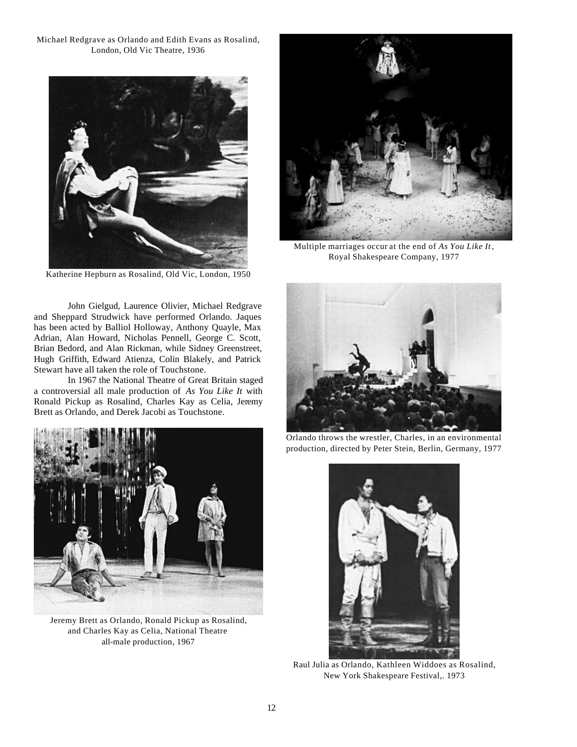Michael Redgrave as Orlando and Edith Evans as Rosalind, London, Old Vic Theatre, 1936



Katherine Hepburn as Rosalind, Old Vic, London, 1950

John Gielgud, Laurence Olivier, Michael Redgrave and Sheppard Strudwick have performed Orlando. Jaques has been acted by Balliol Holloway, Anthony Quayle, Max Adrian, Alan Howard, Nicholas Pennell, George C. Scott, Brian Bedord, and Alan Rickman, while Sidney Greenstreet, Hugh Griffith, Edward Atienza, Colin Blakely, and Patrick Stewart have all taken the role of Touchstone.

In 1967 the National Theatre of Great Britain staged a controversial all male production of *As You Like It* with Ronald Pickup as Rosalind, Charles Kay as Celia, Jeremy Brett as Orlando, and Derek Jacobi as Touchstone.



Jeremy Brett as Orlando, Ronald Pickup as Rosalind, and Charles Kay as Celia, National Theatre all-male production, 1967



Multiple marriages occur at the end of *As You Like It*, Royal Shakespeare Company, 1977



Orlando throws the wrestler, Charles, in an environmental production, directed by Peter Stein, Berlin, Germany, 1977



Raul Julia as Orlando, Kathleen Widdoes as Rosalind, New York Shakespeare Festival,. 1973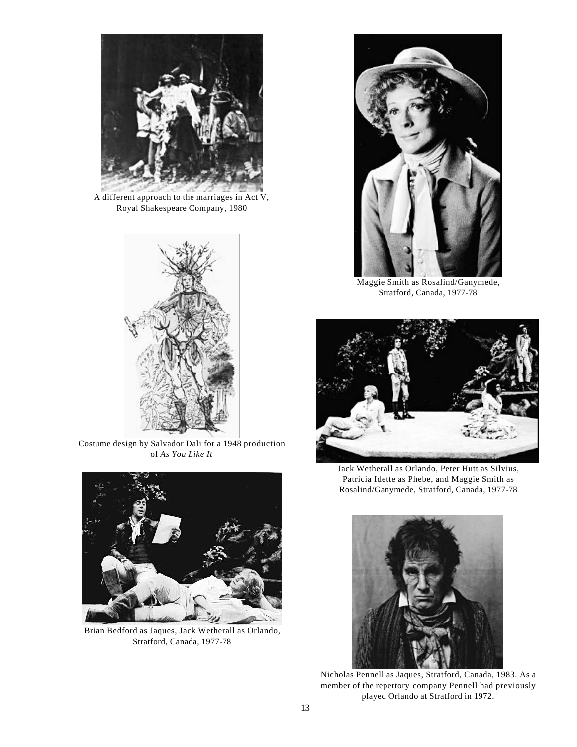

A different approach to the marriages in Act V, Royal Shakespeare Company, 1980



Costume design by Salvador Dali for a 1948 production of *As You Like It*



Brian Bedford as Jaques, Jack Wetherall as Orlando, Stratford, Canada, 1977-78



Maggie Smith as Rosalind/Ganymede, Stratford, Canada, 1977-78



Jack Wetherall as Orlando, Peter Hutt as Silvius, Patricia Idette as Phebe, and Maggie Smith as Rosalind/Ganymede, Stratford, Canada, 1977-78



Nicholas Pennell as Jaques, Stratford, Canada, 1983. As a member of the repertory company Pennell had previously played Orlando at Stratford in 1972.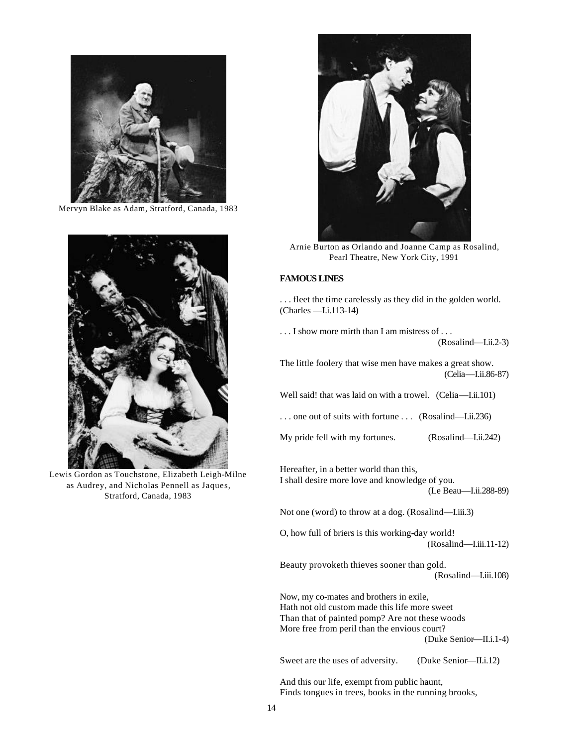

Mervyn Blake as Adam, Stratford, Canada, 1983



Lewis Gordon as Touchstone, Elizabeth Leigh-Milne as Audrey, and Nicholas Pennell as Jaques, Stratford, Canada, 1983



Arnie Burton as Orlando and Joanne Camp as Rosalind, Pearl Theatre, New York City, 1991

#### **FAMOUS LINES**

. . . fleet the time carelessly as they did in the golden world. (Charles —I.i.113-14)

. . . I show more mirth than I am mistress of . . . (Rosalind—I.ii.2-3)

The little foolery that wise men have makes a great show. (Celia—I.ii.86-87)

Well said! that was laid on with a trowel. (Celia—I.ii.101)

. . . one out of suits with fortune . . . (Rosalind—I.ii.236)

My pride fell with my fortunes. (Rosalind—I.ii.242)

Hereafter, in a better world than this, I shall desire more love and knowledge of you. (Le Beau—I.ii.288-89)

Not one (word) to throw at a dog. (Rosalind—I.iii.3)

O, how full of briers is this working-day world! (Rosalind—I.iii.11-12)

Beauty provoketh thieves sooner than gold. (Rosalind—I.iii.108)

Now, my co-mates and brothers in exile, Hath not old custom made this life more sweet Than that of painted pomp? Are not these woods More free from peril than the envious court?

(Duke Senior—II.i.1-4)

Sweet are the uses of adversity. (Duke Senior-II.i.12)

And this our life, exempt from public haunt, Finds tongues in trees, books in the running brooks,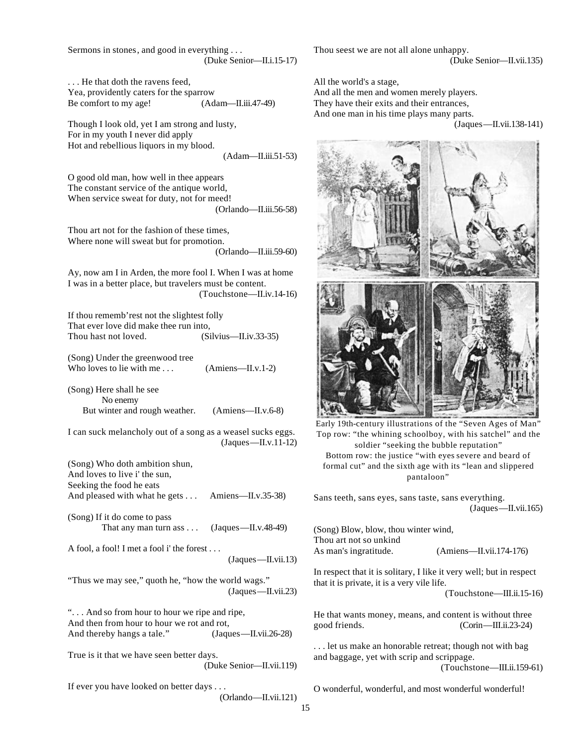Sermons in stones, and good in everything . . . (Duke Senior—II.i.15-17)

. . . He that doth the ravens feed, Yea, providently caters for the sparrow Be comfort to my age! (Adam—II.iii.47-49)

Though I look old, yet I am strong and lusty, For in my youth I never did apply Hot and rebellious liquors in my blood.

(Adam—II.iii.51-53)

O good old man, how well in thee appears The constant service of the antique world, When service sweat for duty, not for meed!

(Orlando—II.iii.56-58)

Thou art not for the fashion of these times, Where none will sweat but for promotion.

(Orlando—II.iii.59-60)

Ay, now am I in Arden, the more fool I. When I was at home I was in a better place, but travelers must be content. (Touchstone—II.iv.14-16)

If thou rememb'rest not the slightest folly That ever love did make thee run into, Thou hast not loved. (Silvius—II.iv.33-35)

(Song) Under the greenwood tree Who loves to lie with me . . . (Amiens—II.v.1-2)

(Song) Here shall he see No enemy But winter and rough weather. (Amiens—II.v.6-8)

I can suck melancholy out of a song as a weasel sucks eggs. (Jaques—II.v.11-12)

(Song) Who doth ambition shun, And loves to live i' the sun, Seeking the food he eats And pleased with what he gets . . . Amiens—II.v.35-38)

(Song) If it do come to pass That any man turn ass  $\dots$  (Jaques—II.v.48-49)

A fool, a fool! I met a fool i' the forest . . .

(Jaques—II.vii.13)

(Orlando—II.vii.121)

"Thus we may see," quoth he, "how the world wags." (Jaques—II.vii.23)

". . . And so from hour to hour we ripe and ripe, And then from hour to hour we rot and rot, And thereby hangs a tale." (Jaques—II.vii.26-28)

True is it that we have seen better days. (Duke Senior—II.vii.119)

If ever you have looked on better days . . .

Thou seest we are not all alone unhappy.

(Duke Senior—II.vii.135)

All the world's a stage, And all the men and women merely players. They have their exits and their entrances, And one man in his time plays many parts.

(Jaques—II.vii.138-141)



Early 19th-century illustrations of the "Seven Ages of Man" Top row: "the whining schoolboy, with his satchel" and the soldier "seeking the bubble reputation" Bottom row: the justice "with eyes severe and beard of formal cut" and the sixth age with its "lean and slippered pantaloon"

Sans teeth, sans eyes, sans taste, sans everything. (Jaques—II.vii.165)

| (Song) Blow, blow, thou winter wind, |                            |
|--------------------------------------|----------------------------|
| Thou art not so unkind               |                            |
| As man's ingratitude.                | $(Amiens—II. vii.174-176)$ |

In respect that it is solitary, I like it very well; but in respect that it is private, it is a very vile life.

(Touchstone—III.ii.15-16)

He that wants money, means, and content is without three good friends. (Corin—III.ii.23-24)

. . . let us make an honorable retreat; though not with bag and baggage, yet with scrip and scrippage. (Touchstone—III.ii.159-61)

O wonderful, wonderful, and most wonderful wonderful!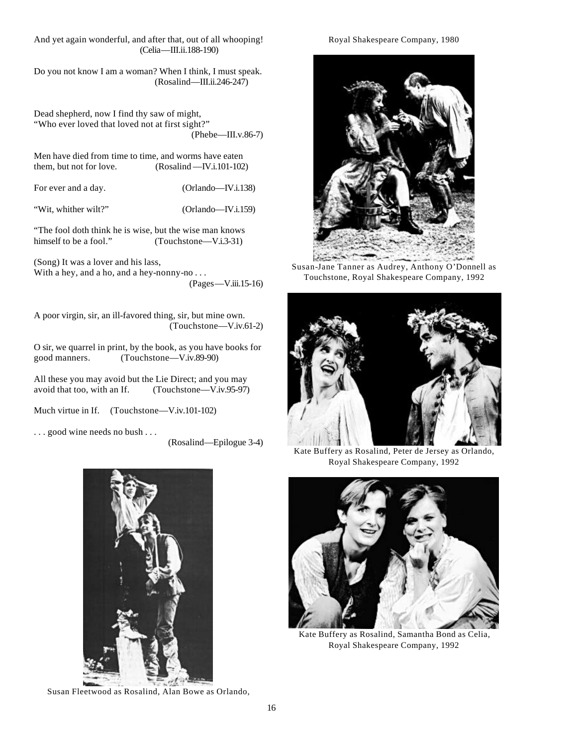And yet again wonderful, and after that, out of all whooping! (Celia—III.ii.188-190)

Do you not know I am a woman? When I think, I must speak. (Rosalind—III.ii.246-247)

Dead shepherd, now I find thy saw of might, "Who ever loved that loved not at first sight?" (Phebe—III.v.86-7)

Men have died from time to time, and worms have eaten them, but not for love. (Rosalind —IV.i.101-102)

| For ever and a day.<br>(Orlando—IV.i.138) |
|-------------------------------------------|
|-------------------------------------------|

"Wit, whither wilt?" (Orlando—IV.i.159)

"The fool doth think he is wise, but the wise man knows himself to be a fool." (Touchstone—V.i.3-31)

(Song) It was a lover and his lass, With a hey, and a ho, and a hey-nonny-no . . . (Pages—V.iii.15-16)

A poor virgin, sir, an ill-favored thing, sir, but mine own. (Touchstone—V.iv.61-2)

O sir, we quarrel in print, by the book, as you have books for good manners. (Touchstone—V.iv.89-90)

All these you may avoid but the Lie Direct; and you may avoid that too, with an If. (Touchstone—V.iv.95-97)

Much virtue in If. (Touchstone—V.iv.101-102)

... good wine needs no bush ...

(Rosalind—Epilogue 3-4)





Susan-Jane Tanner as Audrey, Anthony O'Donnell as Touchstone, Royal Shakespeare Company, 1992



Kate Buffery as Rosalind, Peter de Jersey as Orlando, Royal Shakespeare Company, 1992



Kate Buffery as Rosalind, Samantha Bond as Celia, Royal Shakespeare Company, 1992



Susan Fleetwood as Rosalind, Alan Bowe as Orlando,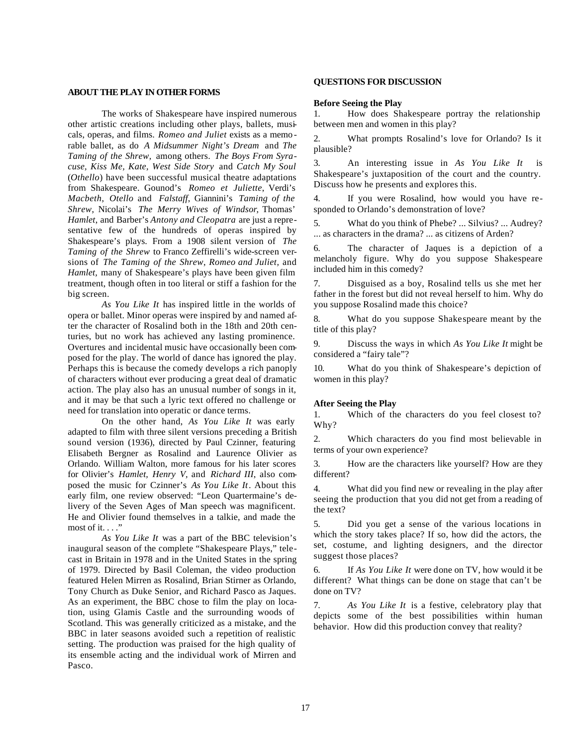#### **ABOUT THE PLAY IN OTHER FORMS**

The works of Shakespeare have inspired numerous other artistic creations including other plays, ballets, musicals, operas, and films. *Romeo and Juliet* exists as a memo rable ballet, as do *A Midsummer Night's Dream* and *The Taming of the Shrew,* among others. *The Boys From Syracuse, Kiss Me, Kate, West Side Story* and *Catch My Soul*  (*Othello*) have been successful musical theatre adaptations from Shakespeare. Gounod's *Romeo et Juliette*, Verdi's *Macbeth*, *Otello* and *Falstaff*, Giannini's *Taming of the Shrew*, Nicolai's *The Merry Wives of Windsor*, Thomas' *Hamlet*, and Barber's *Antony and Cleopatra* are just a representative few of the hundreds of operas inspired by Shakespeare's plays. From a 1908 silent version of *The Taming of the Shrew* to Franco Zeffirelli's wide-screen versions of *The Taming of the Shrew*, *Romeo and Juliet,* and *Hamlet,* many of Shakespeare's plays have been given film treatment, though often in too literal or stiff a fashion for the big screen.

*As You Like It* has inspired little in the worlds of opera or ballet. Minor operas were inspired by and named after the character of Rosalind both in the 18th and 20th centuries, but no work has achieved any lasting prominence. Overtures and incidental music have occasionally been composed for the play. The world of dance has ignored the play. Perhaps this is because the comedy develops a rich panoply of characters without ever producing a great deal of dramatic action. The play also has an unusual number of songs in it, and it may be that such a lyric text offered no challenge or need for translation into operatic or dance terms.

On the other hand, *As You Like It* was early adapted to film with three silent versions preceding a British sound version (1936), directed by Paul Czinner, featuring Elisabeth Bergner as Rosalind and Laurence Olivier as Orlando. William Walton, more famous for his later scores for Olivier's *Hamlet, Henry V,* and *Richard III*, also composed the music for Czinner's *As You Like It*. About this early film, one review observed: "Leon Quartermaine's delivery of the Seven Ages of Man speech was magnificent. He and Olivier found themselves in a talkie, and made the most of it.  $\ldots$ "

*As You Like It* was a part of the BBC television's inaugural season of the complete "Shakespeare Plays," telecast in Britain in 1978 and in the United States in the spring of 1979. Directed by Basil Coleman, the video production featured Helen Mirren as Rosalind, Brian Stirner as Orlando, Tony Church as Duke Senior, and Richard Pasco as Jaques. As an experiment, the BBC chose to film the play on location, using Glamis Castle and the surrounding woods of Scotland. This was generally criticized as a mistake, and the BBC in later seasons avoided such a repetition of realistic setting. The production was praised for the high quality of its ensemble acting and the individual work of Mirren and Pasco.

#### **QUESTIONS FOR DISCUSSION**

#### **Before Seeing the Play**

1. How does Shakespeare portray the relationship between men and women in this play?

2. What prompts Rosalind's love for Orlando? Is it plausible?

3. An interesting issue in *As You Like It* is Shakespeare's juxtaposition of the court and the country. Discuss how he presents and explores this.

4. If you were Rosalind, how would you have responded to Orlando's demonstration of love?

5. What do you think of Phebe? ... Silvius? ... Audrey? ... as characters in the drama? ... as citizens of Arden?

6. The character of Jaques is a depiction of a melancholy figure. Why do you suppose Shakespeare included him in this comedy?

7. Disguised as a boy, Rosalind tells us she met her father in the forest but did not reveal herself to him. Why do you suppose Rosalind made this choice?

8. What do you suppose Shakespeare meant by the title of this play?

9. Discuss the ways in which *As You Like It* might be considered a "fairy tale"?

10. What do you think of Shakespeare's depiction of women in this play?

#### **After Seeing the Play**

1. Which of the characters do you feel closest to? Why?

2. Which characters do you find most believable in terms of your own experience?

3. How are the characters like yourself? How are they different?

4. What did you find new or revealing in the play after seeing the production that you did not get from a reading of the text?

5. Did you get a sense of the various locations in which the story takes place? If so, how did the actors, the set, costume, and lighting designers, and the director suggest those places?

6. If *As You Like It* were done on TV, how would it be different? What things can be done on stage that can't be done on TV?

7. *As You Like It* is a festive, celebratory play that depicts some of the best possibilities within human behavior. How did this production convey that reality?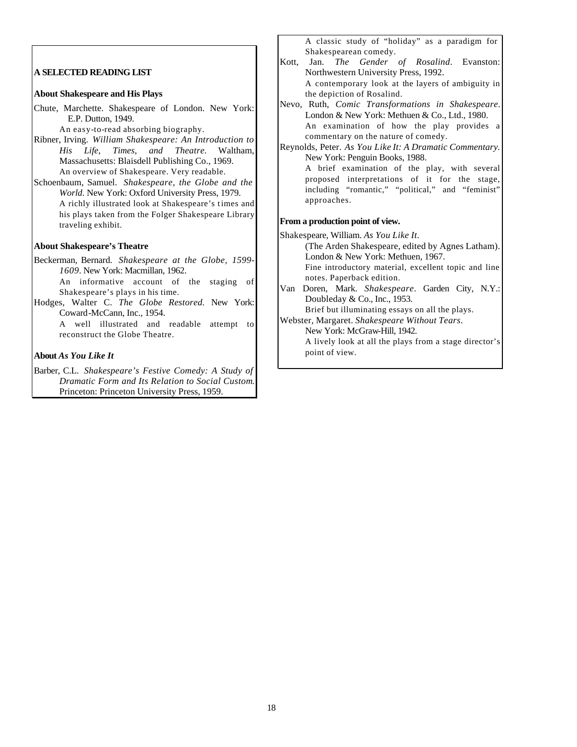### **A SELECTED READING LIST**

#### **About Shakespeare and His Plays**

Chute, Marchette. Shakespeare of London. New York: E.P. Dutton, 1949.

An easy-to-read absorbing biography.

- Ribner, Irving. *William Shakespeare: An Introduction to His Life, Times, and Theatre.* Waltham, Massachusetts: Blaisdell Publishing Co., 1969. An overview of Shakespeare. Very readable.
- Schoenbaum, Samuel. *Shakespeare, the Globe and the World.* New York: Oxford University Press, 1979. A richly illustrated look at Shakespeare's times and his plays taken from the Folger Shakespeare Library traveling exhibit.

#### **About Shakespeare's Theatre**

- Beckerman, Bernard. *Shakespeare at the Globe, 1599- 1609.* New York: Macmillan, 1962. An informative account of the staging of Shakespeare's plays in his time.
- Hodges, Walter C. *The Globe Restored.* New York: Coward-McCann, Inc., 1954.

A well illustrated and readable attempt to reconstruct the Globe Theatre.

#### **About** *As You Like It*

Barber, C.L. *Shakespeare's Festive Comedy: A Study of Dramatic Form and Its Relation to Social Custom*. Princeton: Princeton University Press, 1959.

A classic study of "holiday" as a paradigm for Shakespearean comedy.

Kott, Jan. *The Gender of Rosalind*. Evanston: Northwestern University Press, 1992.

A contemporary look at the layers of ambiguity in the depiction of Rosalind.

- Nevo, Ruth, *Comic Transformations in Shakespeare*. London & New York: Methuen & Co., Ltd., 1980. An examination of how the play provides a commentary on the nature of comedy.
- Reynolds, Peter. *As You Like It: A Dramatic Commentary.*  New York: Penguin Books, 1988.
	- A brief examination of the play, with several proposed interpretations of it for the stage, including "romantic," "political," and "feminist" approaches.

#### **From a production point of view.**

Shakespeare, William. *As You Like It.*

(The Arden Shakespeare, edited by Agnes Latham). London & New York: Methuen, 1967.

Fine introductory material, excellent topic and line notes. Paperback edition.

- Van Doren, Mark. *Shakespeare*. Garden City, N.Y.: Doubleday & Co., Inc., 1953.
- Brief but illuminating essays on all the plays. Webster, Margaret. *Shakespeare Without Tears*.

New York: McGraw-Hill, 1942. A lively look at all the plays from a stage director's point of view.